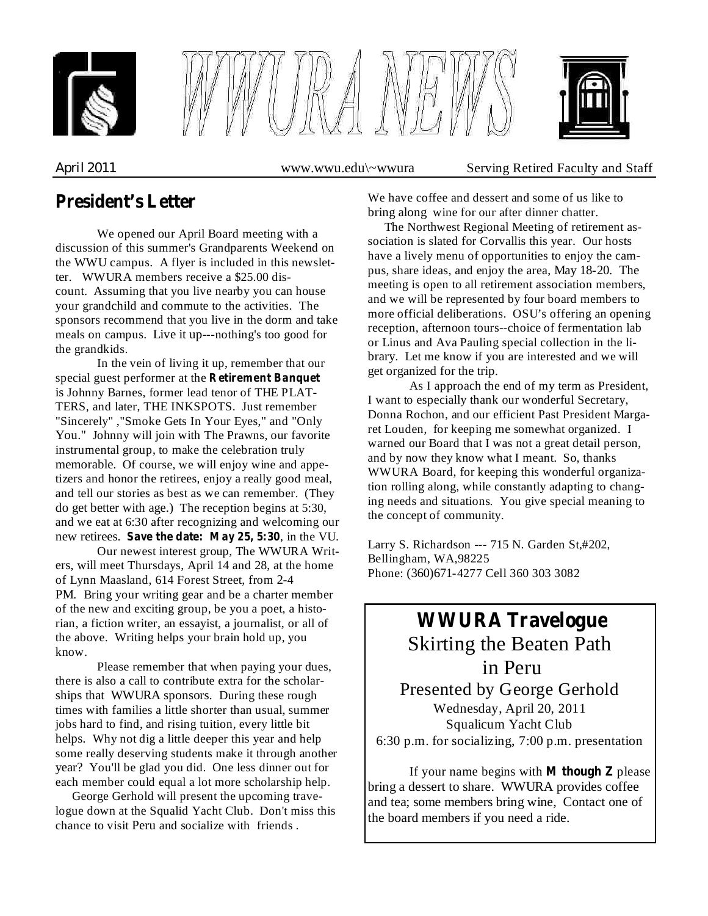





*April* 2011 **www.wwu.edu\~wwura** Serving Retired Faculty and Staff

## **President's Letter**

We opened our April Board meeting with a discussion of this summer's Grandparents Weekend on the WWU campus. A flyer is included in this newsletter. WWURA members receive a \$25.00 discount. Assuming that you live nearby you can house your grandchild and commute to the activities. The sponsors recommend that you live in the dorm and take meals on campus. Live it up---nothing's too good for the grandkids.

In the vein of living it up, remember that our special guest performer at the **Retirement Banquet** is Johnny Barnes, former lead tenor of THE PLAT-TERS, and later, THE INKSPOTS. Just remember "Sincerely" ,"Smoke Gets In Your Eyes," and "Only You." Johnny will join with The Prawns, our favorite instrumental group, to make the celebration truly memorable. Of course, we will enjoy wine and appetizers and honor the retirees, enjoy a really good meal, and tell our stories as best as we can remember. (They do get better with age.) The reception begins at 5:30, and we eat at 6:30 after recognizing and welcoming our new retirees. Save the date: May 25, 5:30, in the VU.

Our newest interest group, The WWURA Writers, will meet Thursdays, April 14 and 28, at the home of Lynn Maasland, 614 Forest Street, from 2-4 PM. Bring your writing gear and be a charter member of the new and exciting group, be you a poet, a historian, a fiction writer, an essayist, a journalist, or all of the above. Writing helps your brain hold up, you know.

Please remember that when paying your dues, there is also a call to contribute extra for the scholarships that WWURA sponsors. During these rough times with families a little shorter than usual, summer jobs hard to find, and rising tuition, every little bit helps. Why not dig a little deeper this year and help some really deserving students make it through another year? You'll be glad you did. One less dinner out for each member could equal a lot more scholarship help.

George Gerhold will present the upcoming travelogue down at the Squalid Yacht Club. Don't miss this chance to visit Peru and socialize with friends .

We have coffee and dessert and some of us like to bring along wine for our after dinner chatter.

The Northwest Regional Meeting of retirement association is slated for Corvallis this year. Our hosts have a lively menu of opportunities to enjoy the campus, share ideas, and enjoy the area, May 18-20. The meeting is open to all retirement association members, and we will be represented by four board members to more official deliberations. OSU's offering an opening reception, afternoon tours--choice of fermentation lab or Linus and Ava Pauling special collection in the library. Let me know if you are interested and we will get organized for the trip.

As I approach the end of my term as President, I want to especially thank our wonderful Secretary, Donna Rochon, and our efficient Past President Margaret Louden, for keeping me somewhat organized. I warned our Board that I was not a great detail person, and by now they know what I meant. So, thanks WWURA Board, for keeping this wonderful organization rolling along, while constantly adapting to changing needs and situations. You give special meaning to the concept of community.

Larry S. Richardson --- 715 N. Garden St,#202, Bellingham, WA,98225 Phone: (360)671-4277 Cell 360 303 3082

# Skirting the Beaten Path **WWURA Travelogue**

in Peru Presented by George Gerhold Wednesday, April 20, 2011 Squalicum Yacht Club 6:30 p.m. for socializing, 7:00 p.m. presentation

If your name begins with **M** though  $Z$  please bring a dessert to share. WWURA provides coffee and tea; some members bring wine, Contact one of the board members if you need a ride.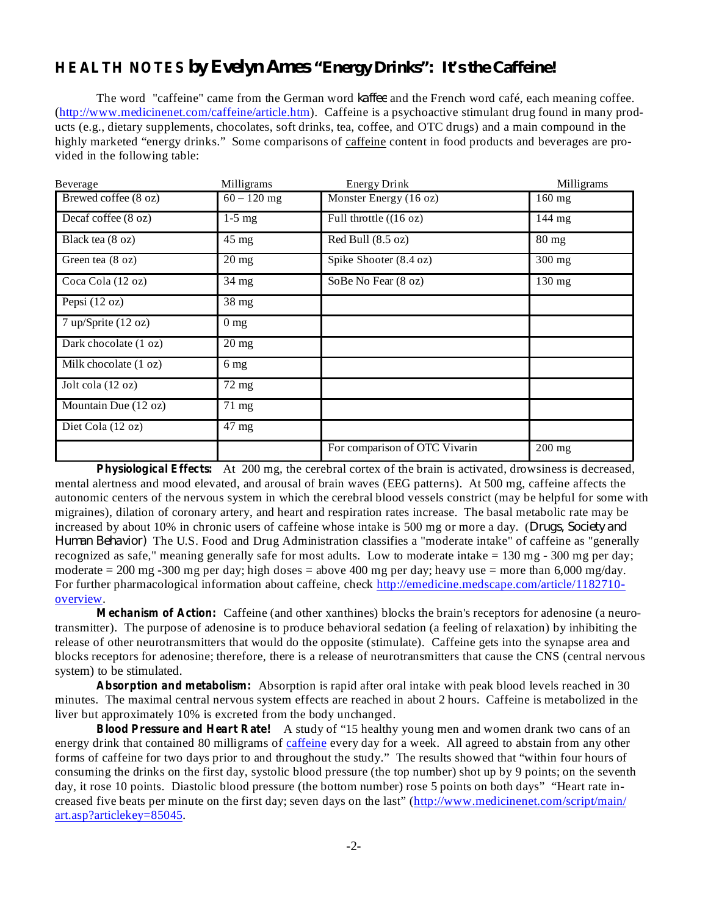### **HEALTH NOTES** *by Evelyn Ames "Energy Drinks": It's the Caffeine!*

The word "caffeine" came from the German word *kaffee* and the French word café, each meaning coffee. (http://www.medicinenet.com/caffeine/article.htm). Caffeine is a psychoactive stimulant drug found in many products (e.g., dietary supplements, chocolates, soft drinks, tea, coffee, and OTC drugs) and a main compound in the highly marketed "energy drinks." Some comparisons of caffeine content in food products and beverages are provided in the following table:

| Beverage                | Milligrams         | Energy Drink                  | Milligrams       |
|-------------------------|--------------------|-------------------------------|------------------|
| Brewed coffee (8 oz)    | $60 - 120$ mg      | Monster Energy (16 oz)        | 160 mg           |
| Decaf coffee (8 oz)     | $1-5$ mg           | Full throttle $((16 oz)$      | 144 mg           |
| Black tea (8 oz)        | $45 \text{ mg}$    | Red Bull (8.5 oz)             | $80 \text{ mg}$  |
| Green tea (8 oz)        | $20 \text{ mg}$    | Spike Shooter (8.4 oz)        | 300 mg           |
| Coca Cola (12 oz)       | $34 \text{ mg}$    | SoBe No Fear (8 oz)           | $130 \text{ mg}$ |
| Pepsi $(12 oz)$         | $\overline{38}$ mg |                               |                  |
| $7$ up/Sprite (12 oz)   | 0 <sub>mg</sub>    |                               |                  |
| Dark chocolate (1 oz)   | $20 \text{ mg}$    |                               |                  |
| Milk chocolate $(1 oz)$ | 6 <sub>mg</sub>    |                               |                  |
| Jolt cola (12 oz)       | $72 \text{ mg}$    |                               |                  |
| Mountain Due (12 oz)    | $71 \text{ mg}$    |                               |                  |
| Diet Cola (12 oz)       | $47 \text{ mg}$    |                               |                  |
|                         |                    | For comparison of OTC Vivarin | $200$ mg         |

**Physiological Effects:** At 200 mg, the cerebral cortex of the brain is activated, drowsiness is decreased, mental alertness and mood elevated, and arousal of brain waves (EEG patterns). At 500 mg, caffeine affects the autonomic centers of the nervous system in which the cerebral blood vessels constrict (may be helpful for some with migraines), dilation of coronary artery, and heart and respiration rates increase. The basal metabolic rate may be increased by about 10% in chronic users of caffeine whose intake is 500 mg or more a day. ( *Drugs, Society and Human Behavior*) The U.S. Food and Drug Administration classifies a "moderate intake" of caffeine as "generally recognized as safe," meaning generally safe for most adults. Low to moderate intake  $= 130$  mg - 300 mg per day; moderate  $= 200$  mg -300 mg per day; high doses  $=$  above 400 mg per day; heavy use  $=$  more than 6,000 mg/day. For further pharmacological information about caffeine, check http://emedicine.medscape.com/article/1182710 overview.

**Mechanism of Action:** Caffeine (and other xanthines) blocks the brain's receptors for adenosine (a neurotransmitter). The purpose of adenosine is to produce behavioral sedation (a feeling of relaxation) by inhibiting the release of other neurotransmitters that would do the opposite (stimulate). Caffeine gets into the synapse area and blocks receptors for adenosine; therefore, there is a release of neurotransmitters that cause the CNS (central nervous system) to be stimulated.

**Absorption and metabolism:** Absorption is rapid after oral intake with peak blood levels reached in 30 minutes. The maximal central nervous system effects are reached in about 2 hours. Caffeine is metabolized in the liver but approximately 10% is excreted from the body unchanged.

**Blood Pressure and Heart Rate!** A study of "15 healthy young men and women drank two cans of an energy drink that contained 80 milligrams of caffeine every day for a week. All agreed to abstain from any other forms of caffeine for two days prior to and throughout the study." The results showed that "within four hours of consuming the drinks on the first day, systolic blood pressure (the top number) shot up by 9 points; on the seventh day, it rose 10 points. Diastolic blood pressure (the bottom number) rose 5 points on both days" "Heart rate increased five beats per minute on the first day; seven days on the last" (http://www.medicinenet.com/script/main/ art.asp?articlekey=85045.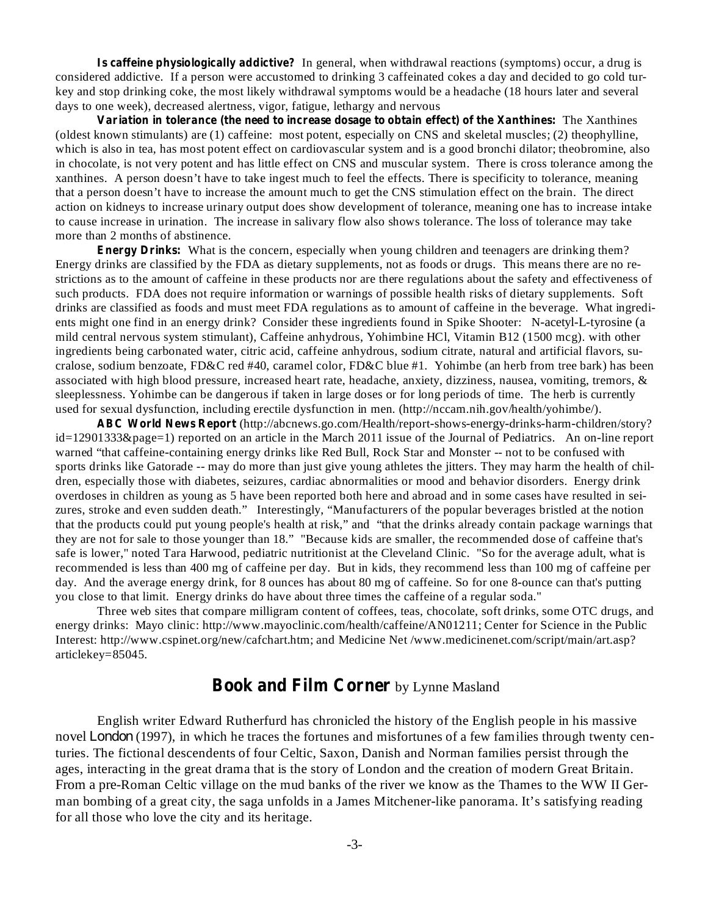**Is caffeine physiologically addictive?** In general, when withdrawal reactions (symptoms) occur, a drug is considered addictive. If a person were accustomed to drinking 3 caffeinated cokes a day and decided to go cold turkey and stop drinking coke, the most likely withdrawal symptoms would be a headache (18 hours later and several days to one week), decreased alertness, vigor, fatigue, lethargy and nervous

**Variation in tolerance (the need to increase dosage to obtain effect) of the Xanthines:** The Xanthines (oldest known stimulants) are (1) caffeine: most potent, especially on CNS and skeletal muscles; (2) theophylline, which is also in tea, has most potent effect on cardiovascular system and is a good bronchi dilator; theobromine, also in chocolate, is not very potent and has little effect on CNS and muscular system. There is cross tolerance among the xanthines. A person doesn't have to take ingest much to feel the effects. There is specificity to tolerance, meaning that a person doesn't have to increase the amount much to get the CNS stimulation effect on the brain. The direct action on kidneys to increase urinary output does show development of tolerance, meaning one has to increase intake to cause increase in urination. The increase in salivary flow also shows tolerance. The loss of tolerance may take more than 2 months of abstinence.

**Energy Drinks:** What is the concern, especially when young children and teenagers are drinking them? Energy drinks are classified by the FDA as dietary supplements, not as foods or drugs. This means there are no restrictions as to the amount of caffeine in these products nor are there regulations about the safety and effectiveness of such products. FDA does not require information or warnings of possible health risks of dietary supplements. Soft drinks are classified as foods and must meet FDA regulations as to amount of caffeine in the beverage. What ingredients might one find in an energy drink? Consider these ingredients found in Spike Shooter: N-acetyl-L-tyrosine (a mild central nervous system stimulant), Caffeine anhydrous, Yohimbine HCl, Vitamin B12 (1500 mcg). with other ingredients being carbonated water, citric acid, caffeine anhydrous, sodium citrate, natural and artificial flavors, sucralose, sodium benzoate, FD&C red #40, caramel color, FD&C blue #1. Yohimbe (an herb from tree bark) has been associated with high blood pressure, increased heart rate, headache, anxiety, dizziness, nausea, vomiting, tremors, & sleeplessness. Yohimbe can be dangerous if taken in large doses or for long periods of time. The herb is currently used for sexual dysfunction, including erectile dysfunction in men. (http://nccam.nih.gov/health/yohimbe/).

**ABC World News Report** (http://abcnews.go.com/Health/report-shows-energy-drinks-harm-children/story? id=12901333&page=1) reported on an article in the March 2011 issue of the Journal of Pediatrics. An on-line report warned "that caffeine-containing energy drinks like Red Bull, Rock Star and Monster -- not to be confused with sports drinks like Gatorade -- may do more than just give young athletes the jitters. They may harm the health of children, especially those with diabetes, seizures, cardiac abnormalities or mood and behavior disorders. Energy drink overdoses in children as young as 5 have been reported both here and abroad and in some cases have resulted in seizures, stroke and even sudden death." Interestingly, "Manufacturers of the popular beverages bristled at the notion that the products could put young people's health at risk," and "that the drinks already contain package warnings that they are not for sale to those younger than 18." "Because kids are smaller, the recommended dose of caffeine that's safe is lower," noted Tara Harwood, pediatric nutritionist at the Cleveland Clinic. "So for the average adult, what is recommended is less than 400 mg of caffeine per day. But in kids, they recommend less than 100 mg of caffeine per day. And the average energy drink, for 8 ounces has about 80 mg of caffeine. So for one 8-ounce can that's putting you close to that limit. Energy drinks do have about three times the caffeine of a regular soda."

Three web sites that compare milligram content of coffees, teas, chocolate, soft drinks, some OTC drugs, and energy drinks: Mayo clinic: http://www.mayoclinic.com/health/caffeine/AN01211; Center for Science in the Public Interest: http://www.cspinet.org/new/cafchart.htm; and Medicine Net /www.medicinenet.com/script/main/art.asp? articlekey=85045.

### **Book and Film Corner** by Lynne Masland

English writer Edward Rutherfurd has chronicled the history of the English people in his massive novel *London* (1997), in which he traces the fortunes and misfortunes of a few families through twenty centuries. The fictional descendents of four Celtic, Saxon, Danish and Norman families persist through the ages, interacting in the great drama that is the story of London and the creation of modern Great Britain. From a pre-Roman Celtic village on the mud banks of the river we know as the Thames to the WW II German bombing of a great city, the saga unfolds in a James Mitchener-like panorama. It's satisfying reading for all those who love the city and its heritage.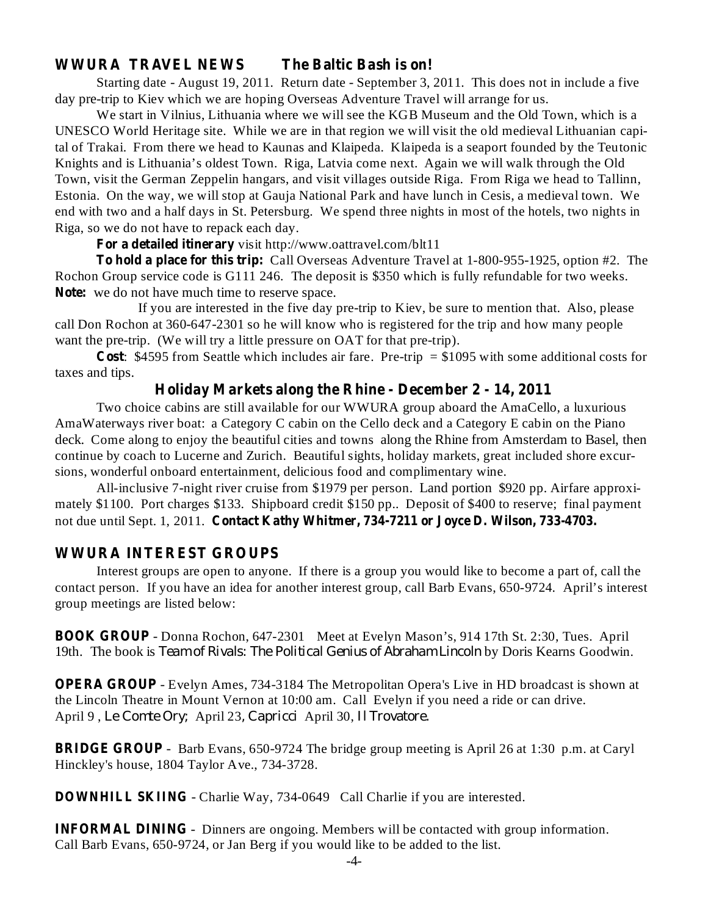#### **WWURA TRAVEL NEWS The Baltic Bash is on!**

Starting date - August 19, 2011. Return date - September 3, 2011. This does not in include a five day pre-trip to Kiev which we are hoping Overseas Adventure Travel will arrange for us.

We start in Vilnius, Lithuania where we will see the KGB Museum and the Old Town, which is a UNESCO World Heritage site. While we are in that region we will visit the old medieval Lithuanian capital of Trakai. From there we head to Kaunas and Klaipeda. Klaipeda is a seaport founded by the Teutonic Knights and is Lithuania's oldest Town. Riga, Latvia come next. Again we will walk through the Old Town, visit the German Zeppelin hangars, and visit villages outside Riga. From Riga we head to Tallinn, Estonia. On the way, we will stop at Gauja National Park and have lunch in Cesis, a medieval town. We end with two and a half days in St. Petersburg. We spend three nights in most of the hotels, two nights in Riga, so we do not have to repack each day.

**For a detailed itinerary** visit http://www.oattravel.com/blt11

**To hold a place for this trip:** Call Overseas Adventure Travel at 1-800-955-1925, option #2. The **Note:** we do not have much time to reserve space. Rochon Group service code is G111 246. The deposit is \$350 which is fully refundable for two weeks.

If you are interested in the five day pre-trip to Kiev, be sure to mention that. Also, please call Don Rochon at 360-647-2301 so he will know who is registered for the trip and how many people want the pre-trip. (We will try a little pressure on OAT for that pre-trip).

**Cost** : \$4595 from Seattle which includes air fare. Pre-trip = \$1095 with some additional costs for taxes and tips.

#### **Holiday Markets along the Rhine - December 2 - 14, 2011**

Two choice cabins are still available for our WWURA group aboard the AmaCello, a luxurious AmaWaterways river boat: a Category C cabin on the Cello deck and a Category E cabin on the Piano deck. Come along to enjoy the beautiful cities and towns along the Rhine from Amsterdam to Basel, then continue by coach to Lucerne and Zurich. Beautiful sights, holiday markets, great included shore excursions, wonderful onboard entertainment, delicious food and complimentary wine.

**Contact Kathy Whitmer, 734-7211 or Joyce D. Wilson, 733-4703.** not due until Sept. 1, 2011. All-inclusive 7-night river cruise from \$1979 per person. Land portion \$920 pp. Airfare approximately \$1100. Port charges \$133. Shipboard credit \$150 pp.. Deposit of \$400 to reserve; final payment

#### **WWURA INTEREST GROUPS**

Interest groups are open to anyone. If there is a group you would ike to become a part of, call the l contact person. If you have an idea for another interest group, call Barb Evans, 650-9724. April's interest group meetings are listed below:

**BOOK GROUP** - Donna Rochon, 647-2301 Meet at Evelyn Mason's, 914 17th St. 2:30, Tues. April 19th. The book is Team of Rivals: The Political Genius of Abraham Lincoln by Doris Kearns Goodwin.

**OPERA GROUP** - Evelyn Ames, 734-3184 The Metropolitan Opera's Live in HD broadcast is shown at the Lincoln Theatre in Mount Vernon at 10:00 am. Call Evelyn if you need a ride or can drive. April 9, Le Comte Ory; April 23, Capricci April 30, Il Trovatore.

**BRIDGE GROUP** - Barb Evans, 650-9724 The bridge group meeting is April 26 at 1:30 p.m. at Caryl Hinckley's house, 1804 Taylor Ave., 734-3728.

**DOWNHILL SKIING** - Charlie Way, 734-0649 Call Charlie if you are interested.

**INFORMAL DINING** - Dinners are ongoing. Members will be contacted with group information. Call Barb Evans, 650-9724, or Jan Berg if you would like to be added to the list.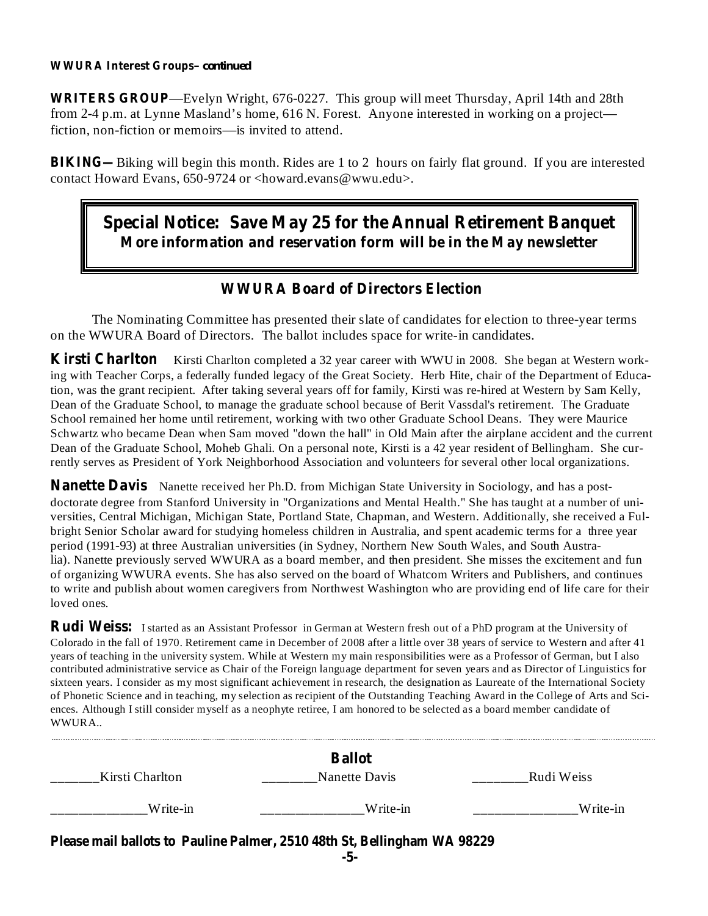#### **WWURA Interest Groups** *– continued*

**WRITERS GROUP** —Evelyn Wright, 676-0227. This group will meet Thursday, April 14th and 28th from 2-4 p.m. at Lynne Masland's home, 616 N. Forest. Anyone interested in working on a project fiction, non-fiction or memoirs—is invited to attend.

**BIKING—** Biking will begin this month. Rides are 1 to 2 hours on fairly flat ground. If you are interested contact Howard Evans, 650-9724 or <howard.evans@wwu.edu>.

## **Special Notice: Save May 25 for the Annual Retirement Banquet More information and reservation form will be in the May newsletter**

#### **WWURA Board of Directors Election**

The Nominating Committee has presented their slate of candidates for election to three-year terms on the WWURA Board of Directors. The ballot includes space for write-in candidates.

**Kirsti Charlton** Kirsti Charlton completed a 32 year career with WWU in 2008. She began at Western working with Teacher Corps, a federally funded legacy of the Great Society. Herb Hite, chair of the Department of Education, was the grant recipient. After taking several years off for family, Kirsti was re-hired at Western by Sam Kelly, Dean of the Graduate School, to manage the graduate school because of Berit Vassdal's retirement. The Graduate School remained her home until retirement, working with two other Graduate School Deans. They were Maurice Schwartz who became Dean when Sam moved "down the hall" in Old Main after the airplane accident and the current Dean of the Graduate School, Moheb Ghali. On a personal note, Kirsti is a 42 year resident of Bellingham. She currently serves as President of York Neighborhood Association and volunteers for several other local organizations.

**Nanette Davis** Nanette received her Ph.D. from Michigan State University in Sociology, and has a postdoctorate degree from Stanford University in "Organizations and Mental Health." She has taught at a number of universities, Central Michigan, Michigan State, Portland State, Chapman, and Western. Additionally, she received a Fulbright Senior Scholar award for studying homeless children in Australia, and spent academic terms for a three year period (1991-93) at three Australian universities (in Sydney, Northern New South Wales, and South Australia). Nanette previously served WWURA as a board member, and then president. She misses the excitement and fun of organizing WWURA events. She has also served on the board of Whatcom Writers and Publishers, and continues to write and publish about women caregivers from Northwest Washington who are providing end of life care for their loved ones.

**Rudi Weiss:** I started as an Assistant Professor in German at Western fresh out of a PhD program at the University of Colorado in the fall of 1970. Retirement came in December of 2008 after a little over 38 years of service to Western and after 41 years of teaching in the university system. While at Western my main responsibilities were as a Professor of German, but I also contributed administrative service as Chair of the Foreign language department for seven years and as Director of Linguistics for sixteen years. I consider as my most significant achievement in research, the designation as Laureate of the International Society of Phonetic Science and in teaching, my selection as recipient of the Outstanding Teaching Award in the College of Arts and Sciences. Although I still consider myself as a neophyte retiree, I am honored to be selected as a board member candidate of WWURA..

| Kirsti Charlton                                                                 | <b>Ballot</b><br>Nanette Davis | Rudi Weiss |  |  |  |
|---------------------------------------------------------------------------------|--------------------------------|------------|--|--|--|
| Write-in                                                                        | Write-in                       | Write-in   |  |  |  |
| Please mail ballots to Pauline Palmer, 2510 48th St, Bellingham WA 98229<br>-5- |                                |            |  |  |  |